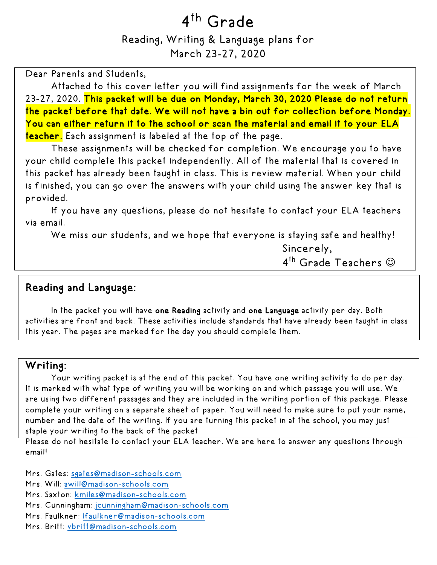# 4th Grade

Reading, Writing & Language plans for March 23-27, 2020

## Dear Parents and Students,

Attached to this cover letter you will find assignments for the week of March 23-27, 2020. This packet will be due on Monday, March 30, 2020 Please do not return the packet before that date. We will not have a bin out for collection before Monday. You can either return it to the school or scan the material and email it to your ELA teacher. Each assignment is labeled at the top of the page.

These assignments will be checked for completion. We encourage you to have your child complete this packet independently. All of the material that is covered in this packet has already been taught in class. This is review material. When your child is finished, you can go over the answers with your child using the answer key that is provided.

If you have any questions, please do not hesitate to contact your ELA teachers via email.

We miss our students, and we hope that everyone is staying safe and healthy!

Sincerely,

4<sup>th</sup> Grade Teachers  $\odot$ 

## Reading and Language:

In the packet you will have one Reading activity and one Language activity per day. Both activities are front and back. These activities include standards that have already been taught in class this year. The pages are marked for the day you should complete them.

## Writing:

 Your writing packet is at the end of this packet. You have one writing activity to do per day. It is marked with what type of writing you will be working on and which passage you will use. We are using two different passages and they are included in the writing portion of this package. Please complete your writing on a separate sheet of paper. You will need to make sure to put your name, number and the date of the writing. If you are turning this packet in at the school, you may just staple your writing to the back of the packet.

Please do not hesitate to contact your ELA teacher. We are here to answer any questions through email!

Mrs. Gates: sgates@madison-schools.com

- Mrs. Will: awill@madison-schools.com
- Mrs. Saxton: kmiles@madison-schools.com
- Mrs. Cunningham: jcunningham@madison-schools.com
- Mrs. Faulkner: lfaulkner@madison-schools.com
- Mrs. Britt: vbritt@madison-schools.com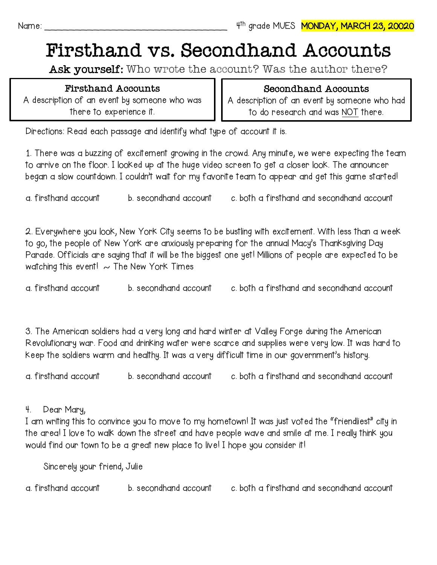# Firsthand vs. Secondhand Accounts

Ask yourself: Who wrote the account? Was the author there?

## Firsthand Accounts

A description of an event by someone who was there to experience it.

# Secondhand Accounts

A description of an event by someone who had to do research and was NOT there.

Directions: Read each passage and identify what type of account it is.

1. There was a buzzing of excitement growing in the crowd. Any minute, we were expecting the team to arrive on the floor. I looked up at the huge video screen to get a closer look. The announcer began a slow countdown. I couldn't wait for my favorite team to appear and get this game started!

a. firsthand account b. secondhand account c. both a firsthand and secondhand account

2. Everywhere you look, New York City seems to be bustling with excitement. With less than a week to go, the people of New York are anxiously preparing for the annual Macy's Thanksgiving Day Parade. Officials are saying that it will be the biggest one yet! Millions of people are expected to be watching this event!  $\sim$  The New York Times

a. firsthand account b. secondhand account c. both a firsthand and secondhand account

3. The American soldiers had a very long and hard winter at Valley Forge during the American Revolutionary war. Food and drinking water were scarce and supplies were very low. It was hard to keep the soldiers warm and healthy. It was a very difficult time in our government's history.

a. firsthand account b. secondhand account c. both a firsthand and secondhand account

4. Dear Mary,

I am writing this to convince you to move to my hometown! It was just voted the "friendliest" city in the area! I love to walk down the street and have people wave and smile at me. I really think you would find our town to be a great new place to live! I hope you consider it!

Sincerely your friend, Julie

a. firsthand account b. secondhand account c. both a firsthand and secondhand account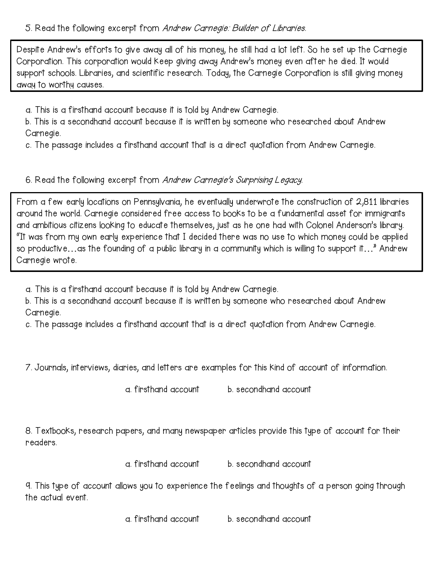5. Read the following excerpt from Andrew Carnegie: Builder of Libraries.

1 Despite Andrew's efforts to give away all of his money, he still had a lot left. So he set up the Carnegie Corporation. This corporation would keep giving away Andrew's money even after he died. It would support schools. Libraries, and scientific research. Today, the Carnegie Corporation is still giving money away to worthy causes.

a. This is a firsthand account because it is told by Andrew Carnegie.

b. This is a secondhand account because it is written by someone who researched about Andrew Carnegie.

c. The passage includes a firsthand account that is a direct quotation from Andrew Carnegie.

6. Read the following excerpt from Andrew Carnegie's Surprising Legacy.

From a few early locations on Pennsylvania, he eventually underwrote the construction of 2,811 libraries around the world. Carnegie considered free access to books to be a fundamental asset for immigrants and ambitious citizens looking to educate themselves, just as he one had with Colonel Anderson's library. "It was from my own early experience that I decided there was no use to which money could be applied so productive... as the founding of a public library in a community which is willing to support it..." Andrew Carnegie wrote.

a. This is a firsthand account because it is told by Andrew Carnegie.

b. This is a secondhand account because it is written by someone who researched about Andrew Carnegie.

c. The passage includes a firsthand account that is a direct quotation from Andrew Carnegie.

7. Journals, interviews, diaries, and letters are examples for this kind of account of information.

a. firsthand account b. secondhand account

8. Textbooks, research papers, and many newspaper articles provide this type of account for their readers.

a. firsthand account b. secondhand account

9. This type of account allows you to experience the feelings and thoughts of a person going through the actual event.

a. firsthand account b. secondhand account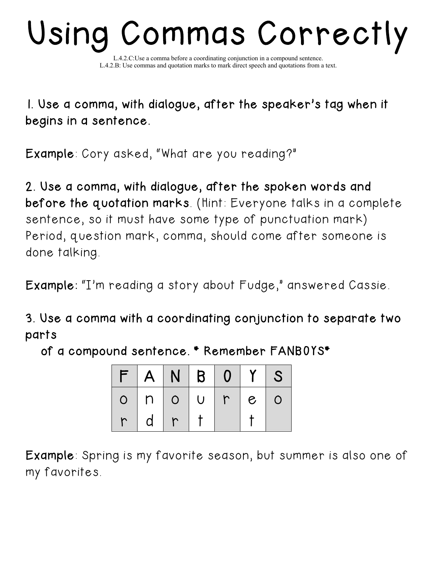# Using Commas Correctly

L.4.2.C:Use a comma before a coordinating conjunction in a compound sentence. L.4.2.B: Use commas and quotation marks to mark direct speech and quotations from a text.

1. Use a comma, with dialogue, after the speaker's tag when it begins in a sentence.

Example: Cory asked, "What are you reading?"

2. Use a comma, with dialogue, after the spoken words and before the quotation marks. (Hint: Everyone talks in a complete sentence, so it must have some type of punctuation mark) Period, question mark, comma, should come after someone is done talking.

Example: "I'm reading a story about Fudge," answered Cassie.

3. Use a comma with a coordinating conjunction to separate two parts

of a compound sentence. \* Remember FANBOYS\*

|          | F   A        |                   | $N$   B   O |            |               | $\vert \Upsilon \vert$ $S$ $\vert$ |
|----------|--------------|-------------------|-------------|------------|---------------|------------------------------------|
| $\circ$  |              | $n \mid o \mid U$ |             | $\sqrt{r}$ | $\mathcal{C}$ | $\overline{O}$                     |
| $\Gamma$ | $\mathsf{d}$ |                   |             |            |               |                                    |

Example: Spring is my favorite season, but summer is also one of my favorites.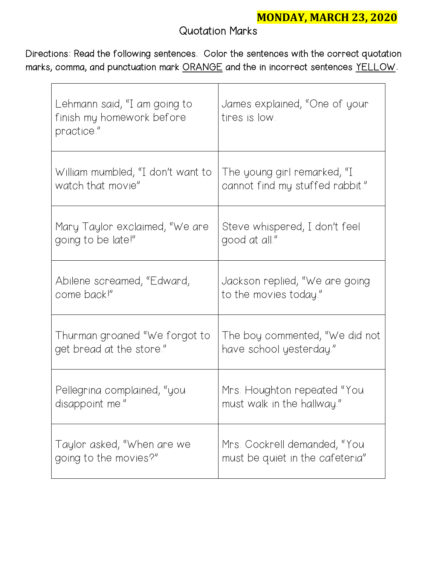# **MONDAY, MARCH 23, 2020**

# Quotation Marks

Directions: Read the following sentences. Color the sentences with the correct quotation marks, comma, and punctuation mark ORANGE and the in incorrect sentences YELLOW.

 $\overline{\Gamma}$ 

| Lehmann said, "I am going to<br>finish my homework before<br>practice." | James explained, "One of your<br>tires is low. |
|-------------------------------------------------------------------------|------------------------------------------------|
| William mumbled, "I don't want to                                       | The young girl remarked, "I                    |
| watch that movie"                                                       | cannot find my stuffed rabbit."                |
| Mary Taylor exclaimed, "We are                                          | Steve whispered, I don't feel                  |
| going to be late!"                                                      | good at all."                                  |
| Abilene screamed, "Edward,                                              | Jackson replied, "We are going                 |
| come back!"                                                             | to the movies today."                          |
| Thurman groaned "We forgot to                                           | The boy commented, "We did not                 |
| get bread at the store."                                                | have school yesterday."                        |
| Pellegrina complained, "you                                             | Mrs. Houghton repeated "You                    |
| disappoint me."                                                         | must walk in the hallway."                     |
| Taylor asked, "When are we                                              | Mrs. Cockrell demanded, "You                   |
| going to the movies?"                                                   | must be quiet in the cafeteria"                |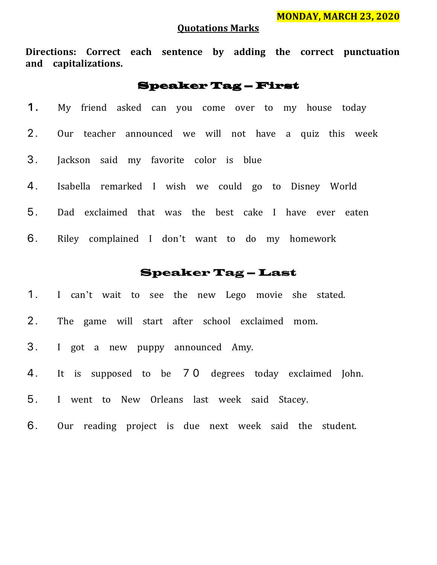**MONDAY, MARCH 23, 2020** 

### **Quotations Marks**

**Directions: Correct each sentence by adding the correct punctuation and capitalizations.**

# Speaker Tag – First

| 1. My friend asked can you come over to my house today     |
|------------------------------------------------------------|
| 2. Our teacher announced we will not have a quiz this week |
| 3. Jackson said my favorite color is blue                  |
| 4. Isabella remarked I wish we could go to Disney World    |
| 5. Dad exclaimed that was the best cake I have ever eaten  |
| 6. Riley complained I don't want to do my homework         |

# Speaker Tag – Last

. I can't wait to see the new Lego movie she stated.

. The game will start after school exclaimed mom.

. I got a new puppy announced Amy.

. It is supposed to be 70 degrees today exclaimed John.

. I went to New Orleans last week said Stacey.

. Our reading project is due next week said the student.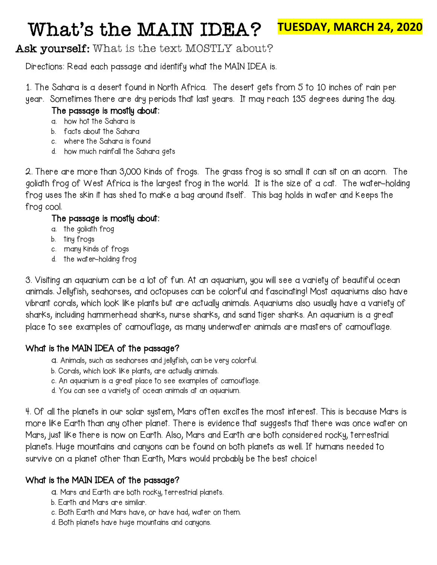# What's the MAIN IDEA? **TUESDAY, MARCH 24, 2020**

# Ask yourself: What is the text MOSTLY about?

Directions: Read each passage and identify what the MAIN IDEA is.

1. The Sahara is a desert found in North Africa. The desert gets from 5 to 10 inches of rain per year. Sometimes there are dry periods that last years. It may reach 135 degrees during the day.

# The passage is mostly about:

- a. how hot the Sahara is
- b. facts about the Sahara
- c. where the Sahara is found
- d. how much rainfall the Sahara gets

2. There are more than 3,000 kinds of frogs. The grass frog is so small it can sit on an acorn. The goliath frog of West Africa is the largest frog in the world. It is the size of a cat. The water-holding frog uses the skin it has shed to make a bag around itself. This bag holds in water and keeps the frog cool.

# The passage is mostly about:

- a. the goliath frog
- b. tiny frogs
- c. many kinds of frogs
- d. the water-holding frog

3. Visiting an aquarium can be a lot of fun. At an aquarium, you will see a variety of beautiful ocean animals. Jellyfish, seahorses, and octopuses can be colorful and fascinating! Most aquariums also have vibrant corals, which look like plants but are actually animals. Aquariums also usually have a variety of sharks, including hammerhead sharks, nurse sharks, and sand tiger sharks. An aquarium is a great place to see examples of camouflage, as many underwater animals are masters of camouflage.

# What is the MAIN IDEA of the passage?

- a. Animals, such as seahorses and jellyfish, can be very colorful.
- b. Corals, which look like plants, are actually animals.
- c. An aquarium is a great place to see examples of camouflage.
- d. You can see a variety of ocean animals at an aquarium.

4. Of all the planets in our solar system, Mars often excites the most interest. This is because Mars is more like Earth than any other planet. There is evidence that suggests that there was once water on Mars, just like there is now on Earth. Also, Mars and Earth are both considered rocky, terrestrial planets. Huge mountains and canyons can be found on both planets as well. If humans needed to survive on a planet other than Earth, Mars would probably be the best choice!

# What is the MAIN IDEA of the passage?

- a. Mars and Earth are both rocky, terrestrial planets.
- b. Earth and Mars are similar.
- c. Both Earth and Mars have, or have had, water on them.
- d. Both planets have huge mountains and canyons.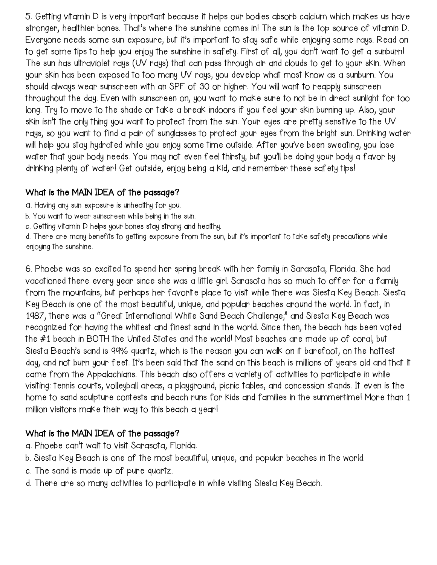5. Getting vitamin D is very important because it helps our bodies absorb calcium which makes us have stronger, healthier bones. That's where the sunshine comes in! The sun is the top source of vitamin D. Everyone needs some sun exposure, but it's important to stay safe while enjoying some rays. Read on to get some tips to help you enjoy the sunshine in safety. First of all, you don't want to get a sunburn! The sun has ultraviolet rays (UV rays) that can pass through air and clouds to get to your skin. When your skin has been exposed to too many UV rays, you develop what most know as a sunburn. You should always wear sunscreen with an SPF of 30 or higher. You will want to reapply sunscreen throughout the day. Even with sunscreen on, you want to make sure to not be in direct sunlight for too long. Try to move to the shade or take a break indoors if you feel your skin burning up. Also, your skin isn't the only thing you want to protect from the sun. Your eyes are pretty sensitive to the UV rays, so you want to find a pair of sunglasses to protect your eyes from the bright sun. Drinking water will help you stay hydrated while you enjoy some time outside. After you've been sweating, you lose water that your body needs. You may not even feel thirsty, but you'll be doing your body a favor by drinking plenty of water! Get outside, enjoy being a kid, and remember these safety tips!

# What is the MAIN IDEA of the passage?

- a. Having any sun exposure is unhealthy for you.
- b. You want to wear sunscreen while being in the sun.
- c. Getting vitamin D helps your bones stay strong and healthy.

d. There are many benefits to getting exposure from the sun, but it's important to take safety precautions while enjoying the sunshine.

6. Phoebe was so excited to spend her spring break with her family in Sarasota, Florida. She had vacationed there every year since she was a little girl. Sarasota has so much to offer for a family from the mountains, but perhaps her favorite place to visit while there was Siesta Key Beach. Siesta Key Beach is one of the most beautiful, unique, and popular beaches around the world. In fact, in 1987, there was a "Great International White Sand Beach Challenge," and Siesta Key Beach was recognized for having the whitest and finest sand in the world. Since then, the beach has been voted the #1 beach in BOTH the United States and the world! Most beaches are made up of coral, but Siesta Beach's sand is 99% quartz, which is the reason you can walk on it barefoot, on the hottest day, and not burn your feet. It's been said that the sand on this beach is millions of years old and that it came from the Appalachians. This beach also offers a variety of activities to participate in while visiting: tennis courts, volleyball areas, a playground, picnic tables, and concession stands. It even is the home to sand sculpture contests and beach runs for kids and families in the summertime! More than 1 million visitors make their way to this beach a year!

# What is the MAIN IDEA of the passage?

- a. Phoebe can't wait to visit Sarasota, Florida.
- b. Siesta Key Beach is one of the most beautiful, unique, and popular beaches in the world.
- c. The sand is made up of pure quartz.
- d. There are so many activities to participate in while visiting Siesta Key Beach.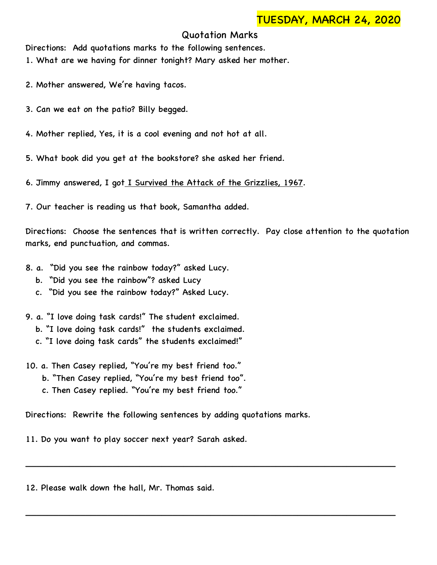# TUESDAY, MARCH 24, 2020

### Quotation Marks

Directions: Add quotations marks to the following sentences.

1. What are we having for dinner tonight? Mary asked her mother.

- 2. Mother answered, We're having tacos.
- 3. Can we eat on the patio? Billy begged.
- 4. Mother replied, Yes, it is a cool evening and not hot at all.
- 5. What book did you get at the bookstore? she asked her friend.
- 6. Jimmy answered, I got I Survived the Attack of the Grizzlies, 1967.
- 7. Our teacher is reading us that book, Samantha added.

Directions: Choose the sentences that is written correctly. Pay close attention to the quotation marks, end punctuation, and commas.

- 8. a. "Did you see the rainbow today?" asked Lucy.
	- b. "Did you see the rainbow"? asked Lucy
	- c. "Did you see the rainbow today?" Asked Lucy.
- 9. a. "I love doing task cards!" The student exclaimed. b. "I love doing task cards!" the students exclaimed. c. "I love doing task cards" the students exclaimed!"
- 10. a. Then Casey replied, "You're my best friend too."
	- b. "Then Casey replied, "You're my best friend too".
	- c. Then Casey replied. "You're my best friend too."

Directions: Rewrite the following sentences by adding quotations marks.

 $\_$ 

\_\_\_\_\_\_\_\_\_\_\_\_\_\_\_\_\_\_\_\_\_\_\_\_\_\_\_\_\_\_\_\_\_\_\_\_\_\_\_\_\_\_\_\_\_\_\_\_\_\_\_\_\_\_\_\_\_\_\_\_\_\_\_\_\_\_\_\_

11. Do you want to play soccer next year? Sarah asked.

12. Please walk down the hall, Mr. Thomas said.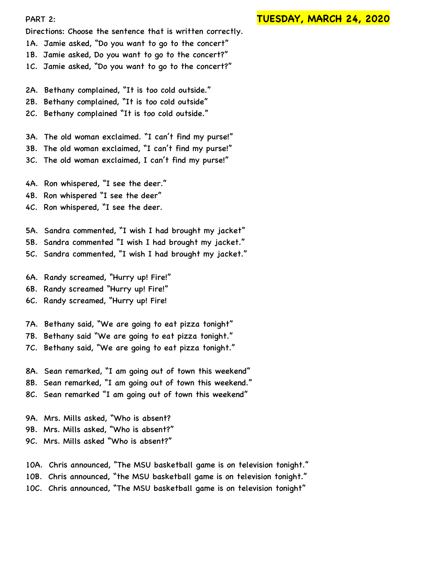### Directions: Choose the sentence that is written correctly.

- 1A. Jamie asked, "Do you want to go to the concert"
- 1B. Jamie asked, Do you want to go to the concert?"
- 1C. Jamie asked, "Do you want to go to the concert?"
- 2A. Bethany complained, "It is too cold outside."
- 2B. Bethany complained, "It is too cold outside"
- 2C. Bethany complained "It is too cold outside."
- 3A. The old woman exclaimed. "I can't find my purse!"
- 3B. The old woman exclaimed, "I can't find my purse!"
- 3C. The old woman exclaimed, I can't find my purse!"
- 4A. Ron whispered, "I see the deer."
- 4B. Ron whispered "I see the deer"
- 4C. Ron whispered, "I see the deer.
- 5A. Sandra commented, "I wish I had brought my jacket"
- 5B. Sandra commented "I wish I had brought my jacket."
- 5C. Sandra commented, "I wish I had brought my jacket."
- 6A. Randy screamed, "Hurry up! Fire!"
- 6B. Randy screamed "Hurry up! Fire!"
- 6C. Randy screamed, "Hurry up! Fire!
- 7A. Bethany said, "We are going to eat pizza tonight"
- 7B. Bethany said "We are going to eat pizza tonight."
- 7C. Bethany said, "We are going to eat pizza tonight."
- 8A. Sean remarked, "I am going out of town this weekend"
- 8B. Sean remarked, "I am going out of town this weekend."
- 8C. Sean remarked "I am going out of town this weekend"

9A. Mrs. Mills asked, "Who is absent?

- 9B. Mrs. Mills asked, "Who is absent?"
- 9C. Mrs. Mills asked "Who is absent?"
- 10A. Chris announced, "The MSU basketball game is on television tonight." 10B. Chris announced, "the MSU basketball game is on television tonight." 10C. Chris announced, "The MSU basketball game is on television tonight"

# PART 2: **TUESDAY, MARCH 24, 2020**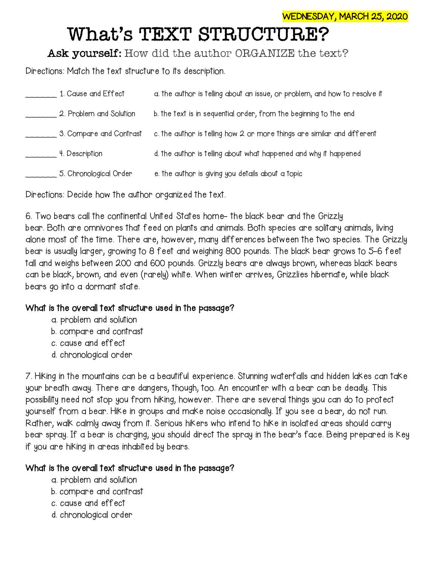# What's TEXT STRUCTURE?

Ask yourself: How did the author ORGANIZE the text?

Directions: Match the text structure to its description.

| 1. Cause and Effect     | a the author is telling about an issue, or problem, and how to resolve it |
|-------------------------|---------------------------------------------------------------------------|
| 2. Problem and Solution | b. the text is in sequential order, from the beginning to the end         |
| 3. Compare and Contrast | c. the quthor is telling how 2 or more things are similar and different   |
| 4. Description          | d. the author is telling about what happened and why it happened          |
| 5. Chronological Order  | e. the author is giving you details about a topic                         |

Directions: Decide how the author organized the text.

6. Two bears call the continental United States home- the black bear and the Grizzly bear. Both are omnivores that feed on plants and animals. Both species are solitary animals, living alone most of the time. There are, however, many differences between the two species. The Grizzly bear is usually larger, growing to 8 feet and weighing 800 pounds. The black bear grows to 5-6 feet tall and weighs between 200 and 600 pounds. Grizzly bears are always brown, whereas black bears can be black, brown, and even (rarely) white. When winter arrives, Grizzlies hibernate, while black bears go into a dormant state.

## What is the overall text structure used in the passage?

- a. problem and solution
- b. compare and contrast
- c. cause and effect
- d. chronological order

7. Hiking in the mountains can be a beautiful experience. Stunning waterfalls and hidden lakes can take your breath away. There are dangers, though, too. An encounter with a bear can be deadly. This possibility need not stop you from hiking, however. There are several things you can do to protect yourself from a bear. Hike in groups and make noise occasionally. If you see a bear, do not run. Rather, walk calmly away from it. Serious hikers who intend to hike in isolated areas should carry bear spray. If a bear is charging, you should direct the spray in the bear's face. Being prepared is key if you are hiking in areas inhabited by bears.

# What is the overall text structure used in the passage?

- a. problem and solution
- b. compare and contrast
- c. cause and effect
- d. chronological order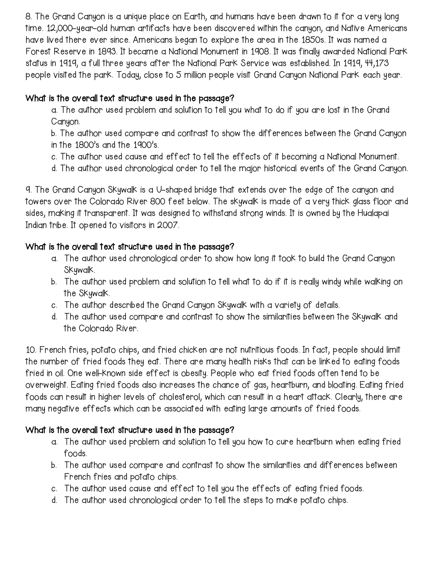8. The Grand Canyon is a unique place on Earth, and humans have been drawn to it for a very long time. 12,000-year-old human artifacts have been discovered within the canyon, and Native Americans have lived there ever since. Americans began to explore the area in the 1850s. It was named a Forest Reserve in 1893. It became a National Monument in 1908. It was finally awarded National Park status in 1919, a full three years after the National Park Service was established. In 1919, 44,173 people visited the park. Today, close to 5 million people visit Grand Canyon National Park each year.

# What is the overall text structure used in the passage?

a. The author used problem and solution to tell you what to do if you are lost in the Grand Canyon.

b. The author used compare and contrast to show the differences between the Grand Canyon in the 1800's and the 1900's.

- c. The author used cause and effect to tell the effects of it becoming a National Monument.
- d. The author used chronological order to tell the major historical events of the Grand Canyon.

9. The Grand Canyon Skywalk is a U-shaped bridge that extends over the edge of the canyon and towers over the Colorado River 800 feet below. The skywalk is made of a very thick glass floor and sides, making it transparent. It was designed to withstand strong winds. It is owned by the Hualapai Indian tribe. It opened to visitors in 2007.

# What is the overall text structure used in the passage?

- a. The author used chronological order to show how long it took to build the Grand Canyon Skywalk.
- b. The author used problem and solution to tell what to do if it is really windy while walking on the Skywalk.
- c. The author described the Grand Canyon Skywalk with a variety of details.
- d. The author used compare and contrast to show the similarities between the Skywalk and the Colorado River.

10. French fries, potato chips, and fried chicken are not nutritious foods. In fact, people should limit the number of fried foods they eat. There are many health risks that can be linked to eating foods fried in oil. One well-known side effect is obesity. People who eat fried foods often tend to be overweight. Eating fried foods also increases the chance of gas, heartburn, and bloating. Eating fried foods can result in higher levels of cholesterol, which can result in a heart attack. Clearly, there are many negative effects which can be associated with eating large amounts of fried foods.

# What is the overall text structure used in the passage?

- a. The author used problem and solution to tell you how to cure heartburn when eating fried foods.
- b. The author used compare and contrast to show the similarities and differences between French fries and potato chips.
- c. The author used cause and effect to tell you the effects of eating fried foods.
- d. The author used chronological order to tell the steps to make potato chips.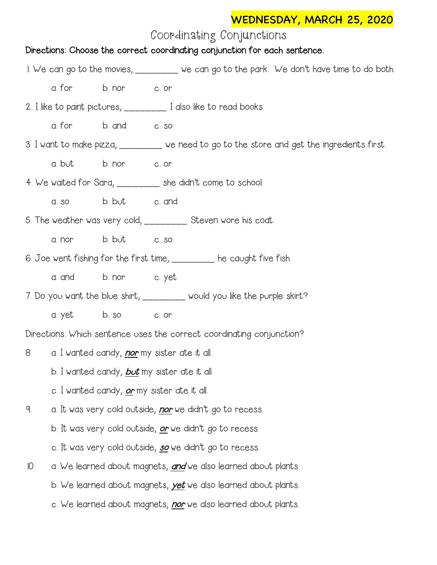# WEDNESDAY, MARCH 25, 2020

# Coordinating Conjunctions

# Directions: Choose the correct coordinating conjunction for each sentence.

- 1. We can go to the movies, \_\_\_\_\_\_\_\_ we can go to the park. We don't have time to do both.
	- a. for b. nor c. or
- 2. I like to paint pictures, \_\_\_\_\_\_\_\_ I also like to read books.
	- a. for b. and c. so
- 3. I want to make pizza, \_\_\_\_\_\_\_\_ we need to go to the store and get the ingredients first.
	- a. but b. nor c. or
- 4. We waited for Sara, \_\_\_\_\_\_\_\_ she didn't come to school.
	- a. so b. but c. and
- 5. The weather was very cold, \_\_\_\_\_\_\_\_ Steven wore his coat.
	- a. nor b. but c. so
- 6. Joe went fishing for the first time, \_\_\_\_\_\_\_\_ he caught five fish.
	- a. and b. nor c. yet
- 7. Do you want the blue shirt, \_\_\_\_\_\_\_\_ would you like the purple skirt?
	- a. yet b. so c. or
- Directions: Which sentence uses the correct coordinating conjunction?
- 8. a. I wanted candy, nor my sister ate it all.
	- b. I wanted candy, **but** my sister ate it all.
	- c. I wanted candy, *or* my sister ate it all.
- 9. a. It was very cold outside, nor we didn't go to recess.
	- b. It was very cold outside, or we didn't go to recess.
	- c. It was very cold outside, so we didn't go to recess.
- 10. a. We learned about magnets, and we also learned about plants.
	- b. We learned about magnets,  $yet$  we also learned about plants.
	- c. We learned about magnets, nor we also learned about plants.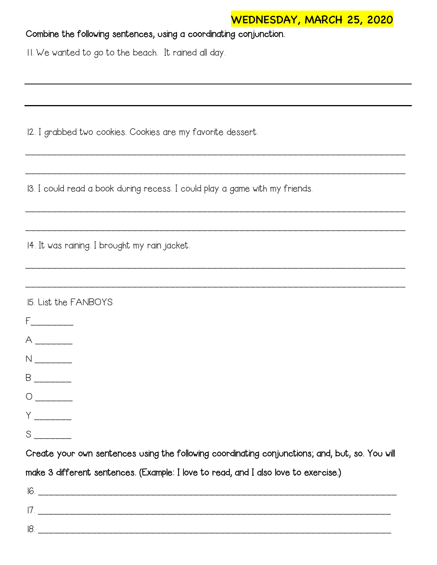# WEDNESDAY, MARCH 25, 2020

Combine the following sentences, using a coordinating conjunction.

11. We wanted to go to the beach. It rained all day.

12. I grabbed two cookies. Cookies are my favorite dessert.

18. \_\_\_\_\_\_\_\_\_\_\_\_\_\_\_\_\_\_\_\_\_\_\_\_\_\_\_\_\_\_\_\_\_\_\_\_\_\_\_\_\_\_\_\_\_\_\_\_\_\_\_\_\_\_\_\_\_\_\_\_\_\_\_\_\_\_

13. I could read a book during recess. I could play a game with my friends.

14. It was raining. I brought my rain jacket.

\_\_\_\_\_\_\_\_\_\_\_\_\_\_\_\_\_\_\_\_\_\_\_\_\_\_\_\_\_\_\_\_\_\_\_\_\_\_\_\_\_\_\_\_\_\_\_\_\_\_\_\_\_\_\_\_\_\_\_\_\_\_\_\_\_\_\_\_\_\_\_ 15. List the FANBOYS  $F_{\perp}$ A \_\_\_\_\_\_\_ N \_\_\_\_\_\_\_  $\mathsf{B}\xspace_{\underline{\hspace{15em}}\underline{\hspace{15em}}\underline{\hspace{15em}}\underline{\hspace{15em}}\underline{\hspace{15em}}\underline{\hspace{15em}}\underline{\hspace{15em}}\underline{\hspace{15em}}\underline{\hspace{15em}}\underline{\hspace{15em}}\underline{\hspace{15em}}\underline{\hspace{15em}}\underline{\hspace{15em}}\underline{\hspace{15em}}\underline{\hspace{15em}}\underline{\hspace{15em}}\underline{\hspace{15em}}\underline{\hspace{15em}}\underline{\hspace{15em}}\underline{\hspace{15em}}\underline{\hspace{15em}}\$  $\circ$ Y \_\_\_\_\_\_\_  $S \qquad \qquad$ Create your own sentences using the following coordinating conjunctions; and, but, so. You will make 3 different sentences. (Example: I love to read, and I also love to exercise.)  $16.$  $17.$ 

\_\_\_\_\_\_\_\_\_\_\_\_\_\_\_\_\_\_\_\_\_\_\_\_\_\_\_\_\_\_\_\_\_\_\_\_\_\_\_\_\_\_\_\_\_\_\_\_\_\_\_\_\_\_\_\_\_\_\_\_\_\_\_\_\_\_\_\_\_\_\_

\_\_\_\_\_\_\_\_\_\_\_\_\_\_\_\_\_\_\_\_\_\_\_\_\_\_\_\_\_\_\_\_\_\_\_\_\_\_\_\_\_\_\_\_\_\_\_\_\_\_\_\_\_\_\_\_\_\_\_\_\_\_\_\_\_\_\_\_\_\_\_

\_\_\_\_\_\_\_\_\_\_\_\_\_\_\_\_\_\_\_\_\_\_\_\_\_\_\_\_\_\_\_\_\_\_\_\_\_\_\_\_\_\_\_\_\_\_\_\_\_\_\_\_\_\_\_\_\_\_\_\_\_\_\_\_\_\_\_\_\_\_\_

\_\_\_\_\_\_\_\_\_\_\_\_\_\_\_\_\_\_\_\_\_\_\_\_\_\_\_\_\_\_\_\_\_\_\_\_\_\_\_\_\_\_\_\_\_\_\_\_\_\_\_\_\_\_\_\_\_\_\_\_\_\_\_\_\_\_\_\_\_\_\_

\_\_\_\_\_\_\_\_\_\_\_\_\_\_\_\_\_\_\_\_\_\_\_\_\_\_\_\_\_\_\_\_\_\_\_\_\_\_\_\_\_\_\_\_\_\_\_\_\_\_\_\_\_\_\_\_\_\_\_\_\_\_\_\_\_\_\_\_\_\_\_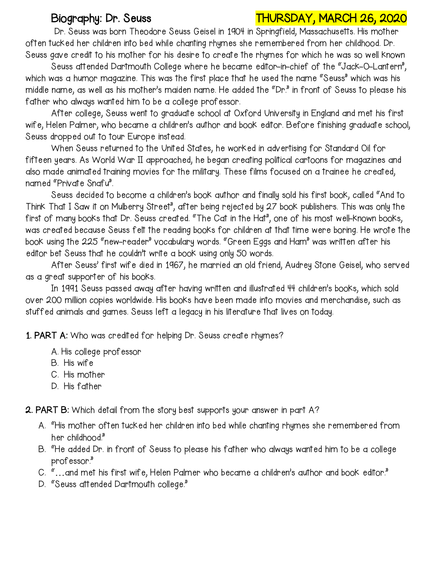# Biography: Dr. Seuss THURSDAY, MARCH 26, 2020

Dr. Seuss was born Theodore Seuss Geisel in 1904 in Springfield, Massachusetts. His mother often tucked her children into bed while chanting rhymes she remembered from her childhood. Dr. Seuss gave credit to his mother for his desire to create the rhymes for which he was so well known

Seuss attended Dartmouth College where he became editor-in-chief of the "Jack-O-Lantern", which was a humor magazine. This was the first place that he used the name "Seuss" which was his middle name, as well as his mother's maiden name. He added the "Dr." in front of Seuss to please his father who always wanted him to be a college professor.

After college, Seuss went to graduate school at Oxford University in England and met his first wife, Helen Palmer, who became a children's author and book editor. Before finishing graduate school, Seuss dropped out to tour Europe instead.

When Seuss returned to the United States, he worked in advertising for Standard Oil for fifteen years. As World War II approached, he began creating political cartoons for magazines and also made animated training movies for the military. These films focused on a trainee he created, named "Private Snafu".

Seuss decided to become a children's book author and finally sold his first book, called "And to Think That I Saw it on Mulberry Street", after being rejected by 27 book publishers. This was only the first of many books that Dr. Seuss created. "The Cat in the Hat", one of his most well-known books, was created because Seuss felt the reading books for children at that time were boring. He wrote the book using the 225 "new-reader" vocabulary words. "Green Eggs and Ham" was written after his editor bet Seuss that he couldn't write a book using only 50 words.

After Seuss' first wife died in 1967, he married an old friend, Audrey Stone Geisel, who served as a great supporter of his books.

In 1991 Seuss passed away after having written and illustrated 44 children's books, which sold over 200 million copies worldwide. His books have been made into movies and merchandise, such as stuffed animals and games. Seuss left a legacy in his literature that lives on today.

1. PART A: Who was credited for helping Dr. Seuss create rhymes?

- A. His college professor
- B. His wife
- C. His mother
- D. His father

2. PART B: Which detail from the story best supports your answer in part A?

- A. "His mother often tucked her children into bed while chanting rhymes she remembered from her childhood."
- B. "He added Dr. in front of Seuss to please his father who always wanted him to be a college professor."
- C. "…and met his first wife, Helen Palmer who became a children's author and book editor."
- D. "Seuss attended Dartmouth college."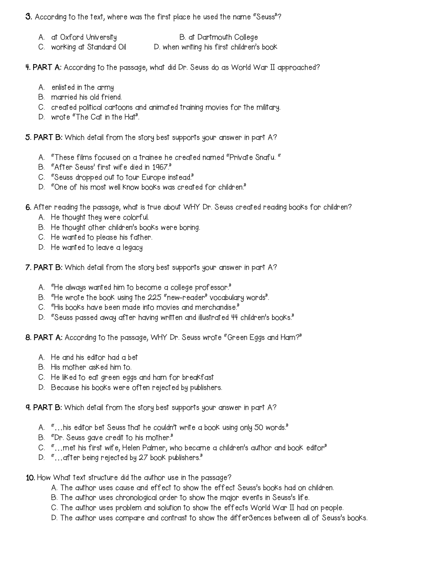3. According to the text, where was the first place he used the name "Seuss"?

- A. at Oxford University **B. at Dartmouth College**
- C. working at Standard Oil D. when writing his first children's book

4. PART A: According to the passage, what did Dr. Seuss do as World War II approached?

- A. enlisted in the army
- B. married his old friend.
- C. created political cartoons and animated training movies for the military.
- D. wrote "The Cat in the Hat".

5. PART B: Which detail from the story best supports your answer in part A?

- A. "These films focused on a trainee he created named "Private Snafu. "
- B. "After Seuss' first wife died in 1967."
- C. "Seuss dropped out to tour Europe instead."
- D. "One of his most well know books was created for children."
- 6. After reading the passage, what is true about WHY Dr. Seuss created reading books for children?
	- A. He thought they were colorful.
	- B. He thought other children's books were boring.
	- C. He wanted to please his father.
	- D. He wanted to leave a legacy

7. PART B: Which detail from the story best supports your answer in part A?

- A. "He always wanted him to become a college professor."
- B. "He wrote the book using the 225 "new-reader" vocabulary words".
- C. "His books have been made into movies and merchandise."
- D. "Seuss passed away after having written and illustrated 44 children's books."

8. PART A: According to the passage, WHY Dr. Seuss wrote "Green Eggs and Ham?"

- A. He and his editor had a bet
- B. His mother asked him to.
- C. He liked to eat green eggs and ham for breakfast
- D. Because his books were often rejected by publishers.

9. PART B: Which detail from the story best supports your answer in part A?

- A. "…his editor bet Seuss that he couldn't write a book using only 50 words."
- B. "Dr. Seuss gave credit to his mother."
- C. "...met his first wife, Helen Palmer, who became a children's author and book editor"
- D. "... after being rejected by 27 book publishers."

10. How What text structure did the author use in the passage?

- A. The author uses cause and effect to show the effect Seuss's books had on children.
- B. The author uses chronological order to show the major events in Seuss's life.
- C. The author uses problem and solution to show the effects World War II had on people.
- D. The author uses compare and contrast to show the differ3ences between all of Seuss's books.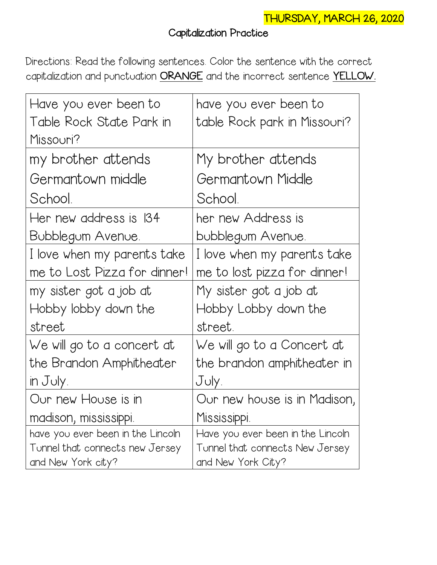# Capitalization Practice

Directions: Read the following sentences. Color the sentence with the correct capitalization and punctuation ORANGE and the incorrect sentence YELLOW.

| Have you ever been to             | have you ever been to             |
|-----------------------------------|-----------------------------------|
| Table Rock State Park in          | table Rock park in Missouri?      |
| Missouri?                         |                                   |
| my brother attends                | My brother attends                |
| Germantown middle                 | Germantown Middle                 |
| School.                           | School.                           |
| Her new address is 134            | her new Address is                |
| Bubblegum Avenue.                 | bubblegum Avenue.                 |
| I love when my parents take       | I love when my parents take       |
| me to Lost Pizza for dinner!      | me to lost pizza for dinner!      |
| my sister got a job at            | My sister got a job at            |
| Hobby lobby down the              | Hobby Lobby down the              |
| street                            | street.                           |
| We will go to a concert at        | We will go to a Concert at        |
| the Brandon Amphitheater          | the brandon amphitheater in       |
| in July.                          | July.                             |
| Our new House is in               | Our new house is in Madison,      |
| madison, mississippi.             | Mississippi.                      |
| have you ever been in the Lincoln | Have you ever been in the Lincoln |
| Tunnel that connects new Jersey   | Tunnel that connects New Jersey   |
| and New York city?                | and New York City?                |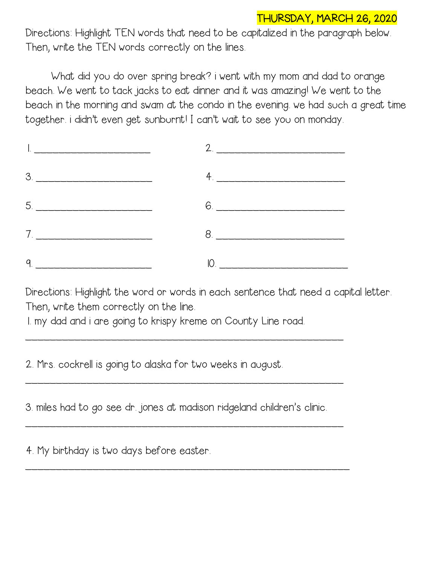# THURSDAY, MARCH 26, 2020

Directions: Highlight TEN words that need to be capitalized in the paragraph below. Then, write the TEN words correctly on the lines.

What did you do over spring break? i went with my mom and dad to orange beach. We went to tack jacks to eat dinner and it was amazing! We went to the beach in the morning and swam at the condo in the evening. we had such a great time together. i didn't even get sunburnt! I can't wait to see you on monday.

|                               | 2.                                                                                                                                                                                                                                                                                                                                                                          |
|-------------------------------|-----------------------------------------------------------------------------------------------------------------------------------------------------------------------------------------------------------------------------------------------------------------------------------------------------------------------------------------------------------------------------|
| $3.$ $\overline{\phantom{a}}$ | 4. $\overline{\phantom{a}}$                                                                                                                                                                                                                                                                                                                                                 |
|                               | $6. \underline{\hspace{1.5cm}}$                                                                                                                                                                                                                                                                                                                                             |
| 7.                            | $8. \underline{\hspace{2cm}}$                                                                                                                                                                                                                                                                                                                                               |
| 9.                            | $\begin{picture}(10,10) \put(0,0){\vector(1,0){10}} \put(15,0){\vector(1,0){10}} \put(15,0){\vector(1,0){10}} \put(15,0){\vector(1,0){10}} \put(15,0){\vector(1,0){10}} \put(15,0){\vector(1,0){10}} \put(15,0){\vector(1,0){10}} \put(15,0){\vector(1,0){10}} \put(15,0){\vector(1,0){10}} \put(15,0){\vector(1,0){10}} \put(15,0){\vector(1,0){10}} \put(15,0){\vector(1$ |

Directions: Highlight the word or words in each sentence that need a capital letter. Then, write them correctly on the line.

1. my dad and i are going to krispy kreme on County Line road.

\_\_\_\_\_\_\_\_\_\_\_\_\_\_\_\_\_\_\_\_\_\_\_\_\_\_\_\_\_\_\_\_\_\_\_\_\_\_\_\_\_\_\_\_\_\_\_\_\_\_\_\_

 $\overline{a}$  , and the contract of the contract of the contract of the contract of the contract of the contract of the contract of the contract of the contract of the contract of the contract of the contract of the contract o

\_\_\_\_\_\_\_\_\_\_\_\_\_\_\_\_\_\_\_\_\_\_\_\_\_\_\_\_\_\_\_\_\_\_\_\_\_\_\_\_\_\_\_\_\_\_\_\_\_\_\_\_

\_\_\_\_\_\_\_\_\_\_\_\_\_\_\_\_\_\_\_\_\_\_\_\_\_\_\_\_\_\_\_\_\_\_\_\_\_\_\_\_\_\_\_\_\_\_\_\_\_\_\_\_\_

2. Mrs. cockrell is going to alaska for two weeks in august.

3. miles had to go see dr. jones at madison ridgeland children's clinic.

4. My birthday is two days before easter.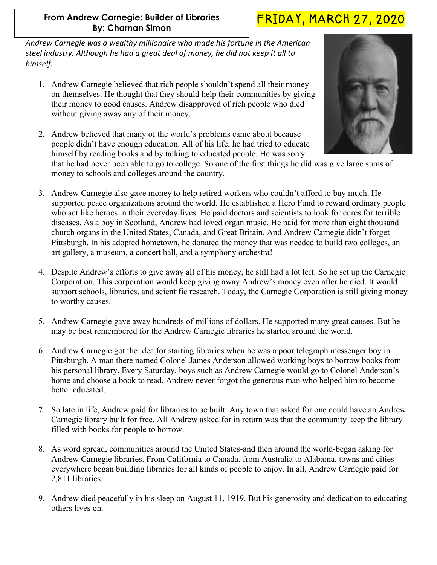### **From Andrew Carnegie: Builder of Libraries By: Charnan Simon**

# FRIDAY, MARCH 27, 2020

*Andrew Carnegie was a wealthy millionaire who made his fortune in the American steel industry. Although he had a great deal of money, he did not keep it all to himself.* 

1. Andrew Carnegie believed that rich people shouldn't spend all their money on themselves. He thought that they should help their communities by giving their money to good causes. Andrew disapproved of rich people who died without giving away any of their money.



2. Andrew believed that many of the world's problems came about because people didn't have enough education. All of his life, he had tried to educate himself by reading books and by talking to educated people. He was sorry

that he had never been able to go to college. So one of the first things he did was give large sums of money to schools and colleges around the country.

- 3. Andrew Carnegie also gave money to help retired workers who couldn't afford to buy much. He supported peace organizations around the world. He established a Hero Fund to reward ordinary people who act like heroes in their everyday lives. He paid doctors and scientists to look for cures for terrible diseases. As a boy in Scotland, Andrew had loved organ music. He paid for more than eight thousand church organs in the United States, Canada, and Great Britain. And Andrew Carnegie didn't forget Pittsburgh. In his adopted hometown, he donated the money that was needed to build two colleges, an art gallery, a museum, a concert hall, and a symphony orchestra!
- 4. Despite Andrew's efforts to give away all of his money, he still had a lot left. So he set up the Carnegie Corporation. This corporation would keep giving away Andrew's money even after he died. It would support schools, libraries, and scientific research. Today, the Carnegie Corporation is still giving money to worthy causes.
- 5. Andrew Carnegie gave away hundreds of millions of dollars. He supported many great causes. But he may be best remembered for the Andrew Carnegie libraries he started around the world.
- 6. Andrew Carnegie got the idea for starting libraries when he was a poor telegraph messenger boy in Pittsburgh. A man there named Colonel James Anderson allowed working boys to borrow books from his personal library. Every Saturday, boys such as Andrew Carnegie would go to Colonel Anderson's home and choose a book to read. Andrew never forgot the generous man who helped him to become better educated.
- 7. So late in life, Andrew paid for libraries to be built. Any town that asked for one could have an Andrew Carnegie library built for free. All Andrew asked for in return was that the community keep the library filled with books for people to borrow.
- 8. As word spread, communities around the United States-and then around the world-began asking for Andrew Carnegie libraries. From California to Canada, from Australia to Alabama, towns and cities everywhere began building libraries for all kinds of people to enjoy. In all, Andrew Carnegie paid for 2,811 libraries.
- 9. Andrew died peacefully in his sleep on August 11, 1919. But his generosity and dedication to educating others lives on.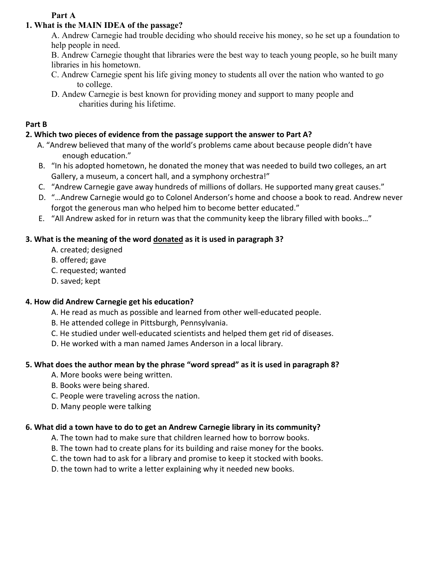### **Part A**

### **1. What is the MAIN IDEA of the passage?**

A. Andrew Carnegie had trouble deciding who should receive his money, so he set up a foundation to help people in need.

B. Andrew Carnegie thought that libraries were the best way to teach young people, so he built many libraries in his hometown.

- C. Andrew Carnegie spent his life giving money to students all over the nation who wanted to go to college.
- D. Andew Carnegie is best known for providing money and support to many people and charities during his lifetime.

### **Part B**

### **2. Which two pieces of evidence from the passage support the answer to Part A?**

- A. "Andrew believed that many of the world's problems came about because people didn't have enough education."
- B. "In his adopted hometown, he donated the money that was needed to build two colleges, an art Gallery, a museum, a concert hall, and a symphony orchestra!"
- C. "Andrew Carnegie gave away hundreds of millions of dollars. He supported many great causes."
- D. "…Andrew Carnegie would go to Colonel Anderson's home and choose a book to read. Andrew never forgot the generous man who helped him to become better educated."
- E. "All Andrew asked for in return was that the community keep the library filled with books…"

### **3. What is the meaning of the word donated as it is used in paragraph 3?**

- A. created; designed
- B. offered; gave
- C. requested; wanted
- D. saved; kept

### **4. How did Andrew Carnegie get his education?**

- A. He read as much as possible and learned from other well-educated people.
- B. He attended college in Pittsburgh, Pennsylvania.
- C. He studied under well-educated scientists and helped them get rid of diseases.
- D. He worked with a man named James Anderson in a local library.

## **5. What does the author mean by the phrase "word spread" as it is used in paragraph 8?**

- A. More books were being written.
- B. Books were being shared.
- C. People were traveling across the nation.
- D. Many people were talking

### **6. What did a town have to do to get an Andrew Carnegie library in its community?**

- A. The town had to make sure that children learned how to borrow books.
- B. The town had to create plans for its building and raise money for the books.
- C. the town had to ask for a library and promise to keep it stocked with books.
- D. the town had to write a letter explaining why it needed new books.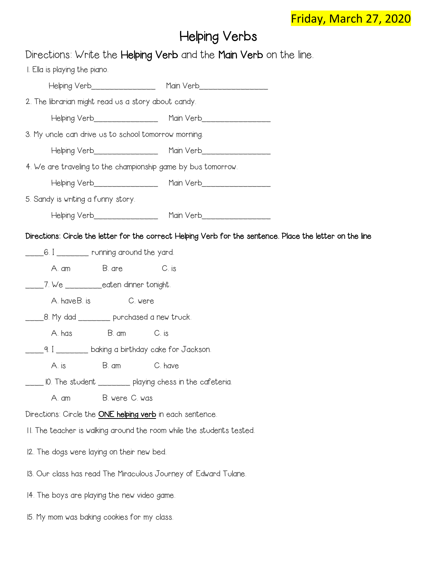# Friday, March 27, 2020

# Helping Verbs

Directions: Write the Helping Verb and the Main Verb on the line.

| I. Ella is playing the piano.                                         |                                                                                                           |
|-----------------------------------------------------------------------|-----------------------------------------------------------------------------------------------------------|
| Helping Verb____________________ Main Verb____________________        |                                                                                                           |
| 2. The librarian might read us a story about candy.                   |                                                                                                           |
|                                                                       |                                                                                                           |
| 3. My uncle can drive us to school tomorrow morning.                  |                                                                                                           |
|                                                                       |                                                                                                           |
| 4. We are traveling to the championship game by bus tomorrow.         |                                                                                                           |
|                                                                       |                                                                                                           |
| 5. Sandy is writing a funny story.                                    |                                                                                                           |
|                                                                       |                                                                                                           |
|                                                                       | Directions: Circle the letter for the correct Helping Verb for the sentence. Place the letter on the line |
| 6. I _______ running around the yard.                                 |                                                                                                           |
| A. am B. are C. is                                                    |                                                                                                           |
| _____7. We ___________eaten dinner tonight.                           |                                                                                                           |
| A. have B. is C. were                                                 |                                                                                                           |
| _______8. My dad __________ purchased a new truck.                    |                                                                                                           |
| A. has B. am<br>C. is                                                 |                                                                                                           |
| _________________ baking a birthday cake for Jackson.                 |                                                                                                           |
| B. am<br>A. is<br>C. have                                             |                                                                                                           |
| IO. The student _______ playing chess in the cafeteria.               |                                                                                                           |
| B. were C. was<br>A. am                                               |                                                                                                           |
| Directions: Circle the ONE helping verb in each sentence.             |                                                                                                           |
| II. The teacher is walking around the room while the students tested. |                                                                                                           |
| 12. The dogs were laying on their new bed.                            |                                                                                                           |
| 13. Our class has read The Miraculous Journey of Edward Tulane.       |                                                                                                           |
| 14. The boys are playing the new video game.                          |                                                                                                           |
| 15. My mom was baking cookies for my class.                           |                                                                                                           |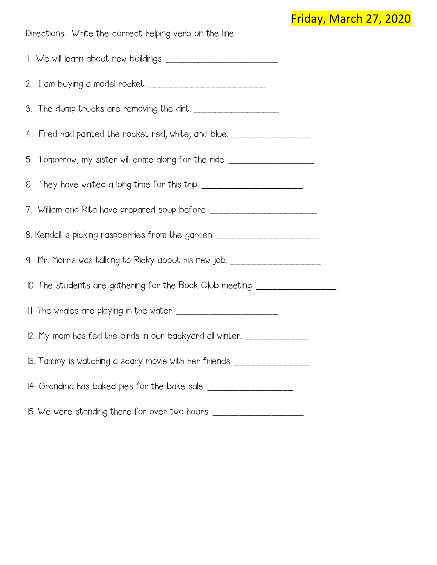# Friday, March 27, 2020

| Directions: Write the correct helping verb on the line                            |
|-----------------------------------------------------------------------------------|
|                                                                                   |
|                                                                                   |
|                                                                                   |
| 4. Fred had painted the rocket red, white, and blue. ___________________________  |
| 5. Tomorrow, my sister will come along for the ride. ___________________________  |
| 6. They have waited a long time for this trip. _________________________________  |
| 7. William and Rita have prepared soup before. _________________________________  |
| 8. Kendall is picking raspberries from the garden. _____________________________  |
| 9. Mr. Morris was talking to Ricky about his new job. __________________________  |
| IO. The students are gathering for the Book Club meeting. ______________________  |
|                                                                                   |
| 12. My mom has fed the birds in our backyard all winter. _______________          |
| 13. Tammy is watching a scary movie with her friends. ___________________________ |
| 14. Grandma has baked pies for the bake sale. __________________________________  |
| 15. We were standing there for over two hours. __________________________________ |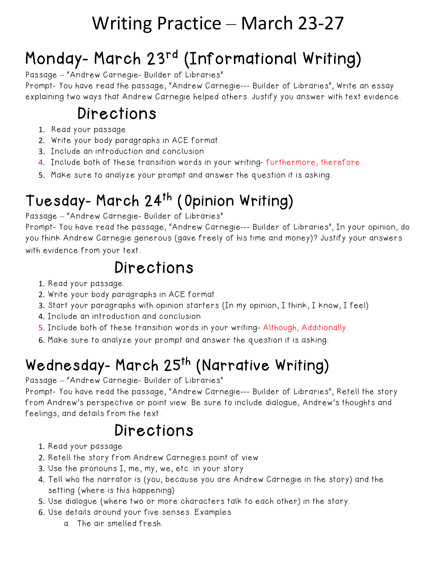# Writing Practice – March 23-27

# Monday- March 23<sup>rd</sup> (Informational Writing)<br>Passage – "Andrew Carnegie- Builder of Libraries"

Prompt- You have read the passage, "Andrew Carnegie--- Builder of Libraries", Write an essay explaining two ways that Andrew Carnegie helped others. Justify you answer with text evidence.

# Directions

- 1. Read your passage.
- 2. Write your body paragraphs in ACE format.
- 3. Include an introduction and conclusion
- 4. Include both of these transition words in your writing- furthermore, therefore
- 5. Make sure to analyze your prompt and answer the question it is asking.

# Tuesday- March 24th (Opinion Writing) Passage – "Andrew Carnegie- Builder of Libraries"

Prompt- You have read the passage, "Andrew Carnegie--- Builder of Libraries", In your opinion, do you think Andrew Carnegie generous (gave freely of his time and money)? Justify your answers with evidence from your text.

# Directions

- 1. Read your passage.
- 2. Write your body paragraphs in ACE format.
- 3. Start your paragraphs with opinion starters (In my opinion, I think, I know, I feel)
- 4. Include an introduction and conclusion
- 5. Include both of these transition words in your writing- Although, Additionally
- 6. Make sure to analyze your prompt and answer the question it is asking.

# Wednesday- March 25<sup>th</sup> (Narrative Writing)<br>Passage – "Andrew Carnegie- Builder of Libraries"

Prompt- You have read the passage, "Andrew Carnegie--- Builder of Libraries", Retell the story from Andrew's perspective or point view. Be sure to include dialogue, Andrew's thoughts and feelings, and details from the text.

# Directions

- 1. Read your passage.
- 2. Retell the story from Andrew Carnegies point of view
- 3. Use the pronouns I, me, my, we, etc. in your story.
- 4. Tell who the narrator is (you, because you are Andrew Carnegie in the story) and the setting (where is this happening)
- 5. Use dialogue (where two or more characters talk to each other) in the story.
- 6. Use details around your five senses. Examples
	- a. The air smelled fresh.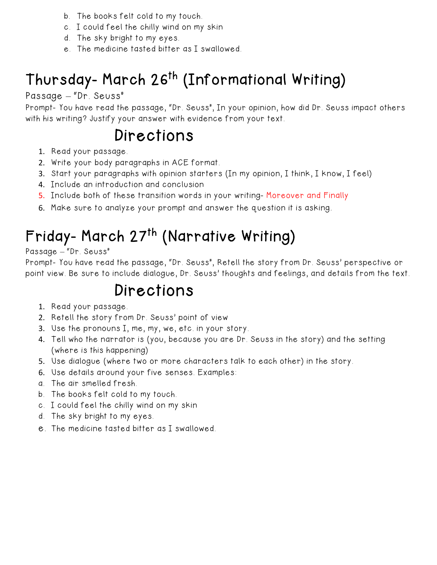- b. The books felt cold to my touch.
- c. I could feel the chilly wind on my skin
- d. The sky bright to my eyes.
- e. The medicine tasted bitter as I swallowed.

# Thursday- March 26th (Informational Writing) Passage – "Dr. Seuss"

Prompt- You have read the passage, "Dr. Seuss", In your opinion, how did Dr. Seuss impact others with his writing? Justify your answer with evidence from your text.

# Directions

- 1. Read your passage.
- 2. Write your body paragraphs in ACE format.
- 3. Start your paragraphs with opinion starters (In my opinion, I think, I know, I feel)
- 4. Include an introduction and conclusion
- 5. Include both of these transition words in your writing- Moreover and Finally
- 6. Make sure to analyze your prompt and answer the question it is asking.

# Friday- March 27th (Narrative Writing) Passage – "Dr. Seuss"

Prompt- You have read the passage, "Dr. Seuss", Retell the story from Dr. Seuss' perspective or point view. Be sure to include dialogue, Dr. Seuss' thoughts and feelings, and details from the text.

# Directions

- 1. Read your passage.
- 2. Retell the story from Dr. Seuss' point of view
- 3. Use the pronouns I, me, my, we, etc. in your story.
- 4. Tell who the narrator is (you, because you are Dr. Seuss in the story) and the setting (where is this happening)
- 5. Use dialogue (where two or more characters talk to each other) in the story.
- 6. Use details around your five senses. Examples:
- a. The air smelled fresh.
- b. The books felt cold to my touch.
- c. I could feel the chilly wind on my skin
- d. The sky bright to my eyes.
- e. The medicine tasted bitter as I swallowed.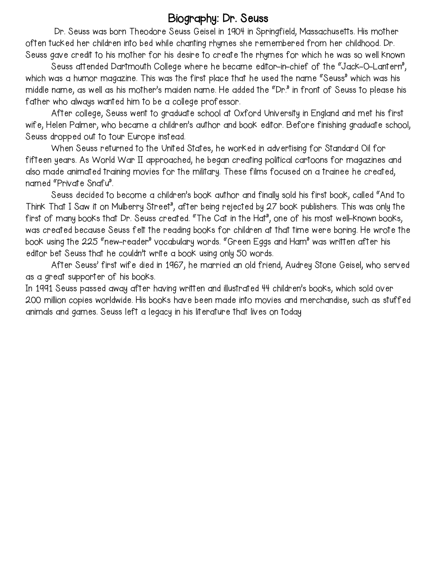# Biography: Dr. Seuss

Dr. Seuss was born Theodore Seuss Geisel in 1904 in Springfield, Massachusetts. His mother often tucked her children into bed while chanting rhymes she remembered from her childhood. Dr. Seuss gave credit to his mother for his desire to create the rhymes for which he was so well known

Seuss attended Dartmouth College where he became editor-in-chief of the "Jack-O-Lantern", which was a humor magazine. This was the first place that he used the name "Seuss" which was his middle name, as well as his mother's maiden name. He added the "Dr." in front of Seuss to please his father who always wanted him to be a college professor.

After college, Seuss went to graduate school at Oxford University in England and met his first wife, Helen Palmer, who became a children's author and book editor. Before finishing graduate school, Seuss dropped out to tour Europe instead.

When Seuss returned to the United States, he worked in advertising for Standard Oil for fifteen years. As World War II approached, he began creating political cartoons for magazines and also made animated training movies for the military. These films focused on a trainee he created, named "Private Snafu".

Seuss decided to become a children's book author and finally sold his first book, called "And to Think That I Saw it on Mulberry Street", after being rejected by 27 book publishers. This was only the first of many books that Dr. Seuss created. "The Cat in the Hat", one of his most well-known books, was created because Seuss felt the reading books for children at that time were boring. He wrote the book using the 225 "new-reader" vocabulary words. "Green Eggs and Ham" was written after his editor bet Seuss that he couldn't write a book using only 50 words.

After Seuss' first wife died in 1967, he married an old friend, Audrey Stone Geisel, who served as a great supporter of his books.

In 1991 Seuss passed away after having written and illustrated 44 children's books, which sold over 200 million copies worldwide. His books have been made into movies and merchandise, such as stuffed animals and games. Seuss left a legacy in his literature that lives on today